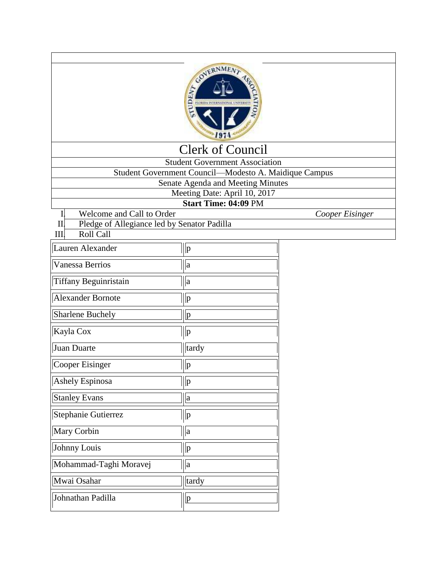

## Clerk of Council

Student Government Association

Student Government Council—Modesto A. Maidique Campus

Senate Agenda and Meeting Minutes

Meeting Date: April 10, 2017

**Start Time: 04:09** PM

- 
- I. Welcome and Call to Order *Cooper Eisinger* Pledge of Allegiance led by Senator Padilla

| $\sim$ |
|--------|
|        |

| Lauren Alexander         | p            |
|--------------------------|--------------|
| Vanessa Berrios          | a            |
| Tiffany Beguinristain    | a            |
| <b>Alexander Bornote</b> | p            |
| <b>Sharlene Buchely</b>  | $\mathbf{p}$ |
| Kayla Cox                | $\mathbf{p}$ |
| Juan Duarte              | tardy        |
| <b>Cooper Eisinger</b>   | $\mathbf{p}$ |
| Ashely Espinosa          | p            |
| <b>Stanley Evans</b>     | a            |
| Stephanie Gutierrez      | $\mathbf{p}$ |
| Mary Corbin              | $\rm{a}$     |
| Johnny Louis             | p            |
| Mohammad-Taghi Moravej   | $\mathbf{a}$ |
| Mwai Osahar              | tardy        |
| Johnathan Padilla        | p            |
|                          |              |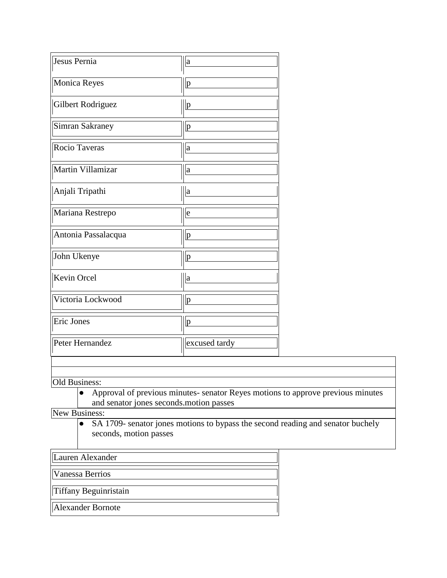| Jesus Pernia           | a                                       |                                                                                 |
|------------------------|-----------------------------------------|---------------------------------------------------------------------------------|
| Monica Reyes           | p                                       |                                                                                 |
| Gilbert Rodriguez      | p                                       |                                                                                 |
| <b>Simran Sakraney</b> | p                                       |                                                                                 |
| Rocio Taveras          | $\rm{a}$                                |                                                                                 |
| Martin Villamizar      | $\rm{a}$                                |                                                                                 |
| Anjali Tripathi        | a                                       |                                                                                 |
| Mariana Restrepo       | e                                       |                                                                                 |
| Antonia Passalacqua    | p                                       |                                                                                 |
| John Ukenye            | p                                       |                                                                                 |
| Kevin Orcel            | $\rm{a}$                                |                                                                                 |
| Victoria Lockwood      | p                                       |                                                                                 |
| Eric Jones             | p                                       |                                                                                 |
| Peter Hernandez        | excused tardy                           |                                                                                 |
|                        |                                         |                                                                                 |
|                        |                                         |                                                                                 |
| Old Business:          |                                         |                                                                                 |
|                        | and senator jones seconds.motion passes | Approval of previous minutes- senator Reyes motions to approve previous minutes |
| New Business:          |                                         |                                                                                 |
| $\bullet$              |                                         | SA 1709- senator jones motions to bypass the second reading and senator buchely |
| seconds, motion passes |                                         |                                                                                 |

Lauren Alexander

Vanessa Berrios

Tiffany Beguinristain

Alexander Bornote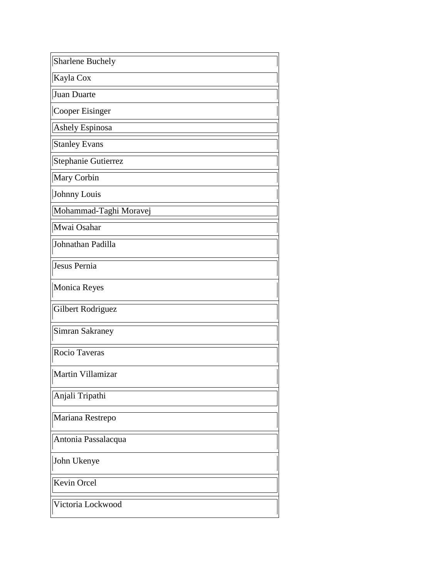| Sharlene Buchely       |
|------------------------|
| Kayla Cox              |
| Juan Duarte            |
| Cooper Eisinger        |
| Ashely Espinosa        |
| <b>Stanley Evans</b>   |
| Stephanie Gutierrez    |
| Mary Corbin            |
| Johnny Louis           |
| Mohammad-Taghi Moravej |
| Mwai Osahar            |
| Johnathan Padilla      |
| Jesus Pernia           |
| Monica Reyes           |
| Gilbert Rodriguez      |
| Simran Sakraney        |
| Rocio Taveras          |
| Martin Villamizar      |
| Anjali Tripathi        |
| Mariana Restrepo       |
| Antonia Passalacqua    |
| John Ukenye            |
| Kevin Orcel            |
| Victoria Lockwood      |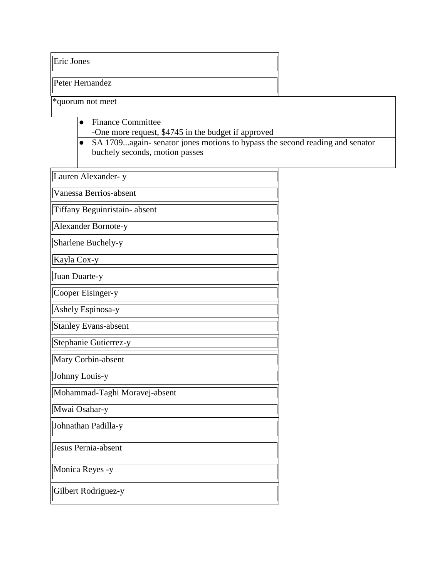Eric Jones

Peter Hernandez

\*quorum not meet

- Finance Committee
	- -One more request, \$4745 in the budget if approved
- SA 1709...again- senator jones motions to bypass the second reading and senator buchely seconds, motion passes

| Lauren Alexander-y            |
|-------------------------------|
| Vanessa Berrios-absent        |
| Tiffany Beguinristain-absent  |
| Alexander Bornote-y           |
| Sharlene Buchely-y            |
| Kayla Cox-y                   |
| Juan Duarte-y                 |
| Cooper Eisinger-y             |
| Ashely Espinosa-y             |
| <b>Stanley Evans-absent</b>   |
| Stephanie Gutierrez-y         |
| Mary Corbin-absent            |
| Johnny Louis-y                |
| Mohammad-Taghi Moravej-absent |
| Mwai Osahar-y                 |
| Johnathan Padilla-y           |
| Jesus Pernia-absent           |
| Monica Reyes -y               |
| Gilbert Rodriguez-y           |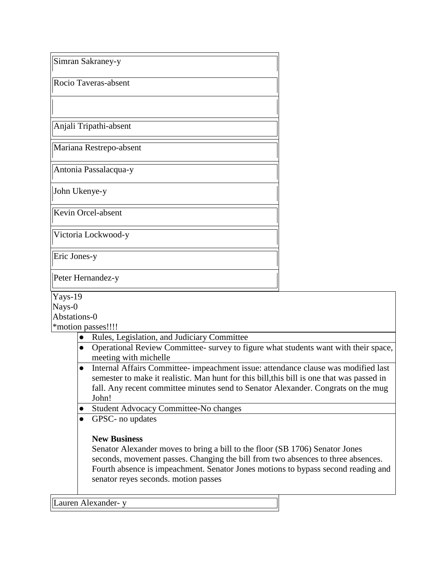| Simran Sakraney-y                                                                                                                                                                                                                                                                                                    |  |  |  |
|----------------------------------------------------------------------------------------------------------------------------------------------------------------------------------------------------------------------------------------------------------------------------------------------------------------------|--|--|--|
| Rocio Taveras-absent                                                                                                                                                                                                                                                                                                 |  |  |  |
|                                                                                                                                                                                                                                                                                                                      |  |  |  |
| Anjali Tripathi-absent                                                                                                                                                                                                                                                                                               |  |  |  |
| Mariana Restrepo-absent                                                                                                                                                                                                                                                                                              |  |  |  |
| Antonia Passalacqua-y                                                                                                                                                                                                                                                                                                |  |  |  |
| John Ukenye-y                                                                                                                                                                                                                                                                                                        |  |  |  |
| Kevin Orcel-absent                                                                                                                                                                                                                                                                                                   |  |  |  |
| Victoria Lockwood-y                                                                                                                                                                                                                                                                                                  |  |  |  |
| Eric Jones-y                                                                                                                                                                                                                                                                                                         |  |  |  |
| Peter Hernandez-y                                                                                                                                                                                                                                                                                                    |  |  |  |
| Yays-19<br>Nays-0<br>Abstations-0<br>*motion passes!!!!                                                                                                                                                                                                                                                              |  |  |  |
| Rules, Legislation, and Judiciary Committee                                                                                                                                                                                                                                                                          |  |  |  |
| Operational Review Committee- survey to figure what students want with their space,<br>$\bullet$<br>meeting with michelle                                                                                                                                                                                            |  |  |  |
| Internal Affairs Committee- impeachment issue: attendance clause was modified last<br>semester to make it realistic. Man hunt for this bill, this bill is one that was passed in<br>fall. Any recent committee minutes send to Senator Alexander. Congrats on the mug<br>John!                                       |  |  |  |
| Student Advocacy Committee-No changes                                                                                                                                                                                                                                                                                |  |  |  |
| GPSC- no updates                                                                                                                                                                                                                                                                                                     |  |  |  |
| <b>New Business</b><br>Senator Alexander moves to bring a bill to the floor (SB 1706) Senator Jones<br>seconds, movement passes. Changing the bill from two absences to three absences.<br>Fourth absence is impeachment. Senator Jones motions to bypass second reading and<br>senator reyes seconds. motion passes |  |  |  |

Lauren Alexander- y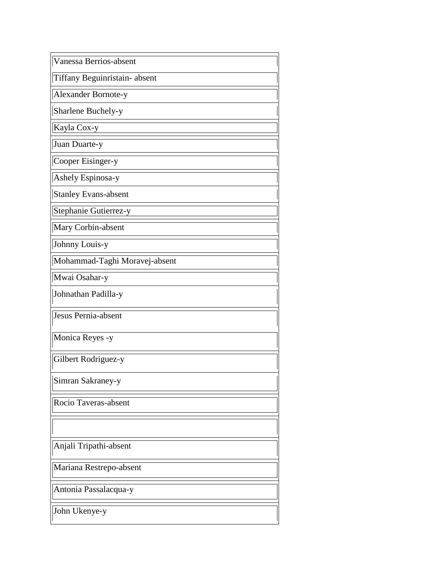| Vanessa Berrios-absent        |  |
|-------------------------------|--|
| Tiffany Beguinristain-absent  |  |
| Alexander Bornote-y           |  |
| Sharlene Buchely-y            |  |
| Kayla Cox-y                   |  |
| Juan Duarte-y                 |  |
| Cooper Eisinger-y             |  |
| Ashely Espinosa-y             |  |
| <b>Stanley Evans-absent</b>   |  |
| Stephanie Gutierrez-y         |  |
| Mary Corbin-absent            |  |
| Johnny Louis-y                |  |
| Mohammad-Taghi Moravej-absent |  |
| Mwai Osahar-y                 |  |
| Johnathan Padilla-y           |  |
| Jesus Pernia-absent           |  |
| Monica Reyes -y               |  |
| Gilbert Rodriguez-y           |  |
| Simran Sakraney-y             |  |
| Rocio Taveras-absent          |  |
|                               |  |
| Anjali Tripathi-absent        |  |
| Mariana Restrepo-absent       |  |
| Antonia Passalacqua-y         |  |
| John Ukenye-y                 |  |